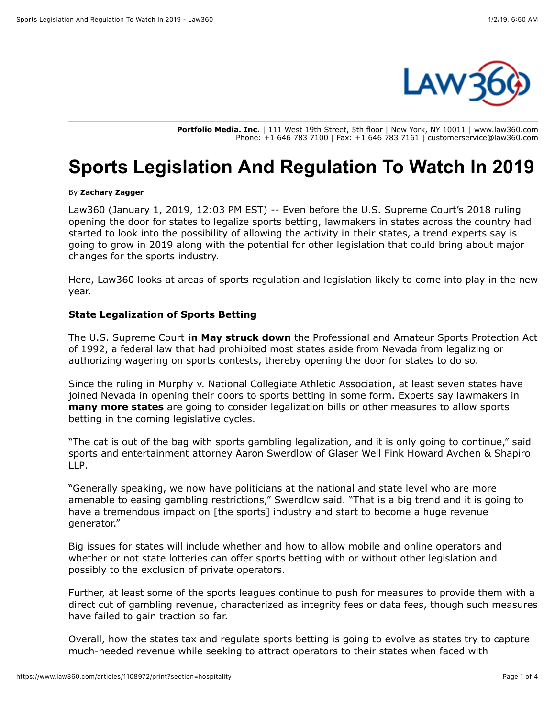

**Portfolio Media. Inc.** | 111 West 19th Street, 5th floor | New York, NY 10011 | www.law360.com Phone: +1 646 783 7100 | Fax: +1 646 783 7161 | customerservice@law360.com

# **Sports Legislation And Regulation To Watch In 2019**

#### By **Zachary Zagger**

Law360 (January 1, 2019, 12:03 PM EST) -- Even before the [U.S. Supreme Court'](https://www.law360.com/agencies/u-s-supreme-court)s 2018 ruling opening the door for states to legalize sports betting, lawmakers in states across the country had started to look into the possibility of allowing the activity in their states, a trend experts say is going to grow in 2019 along with the potential for other legislation that could bring about major changes for the sports industry.

Here, Law360 looks at areas of sports regulation and legislation likely to come into play in the new year.

## **State Legalization of Sports Betting**

The U.S. Supreme Court **[in May struck down](https://www.law360.com/articles/1012356)** the Professional and Amateur Sports Protection Act of 1992, a federal law that had prohibited most states aside from Nevada from legalizing or authorizing wagering on sports contests, thereby opening the door for states to do so.

Since the ruling in Murphy v. [National Collegiate Athletic Association,](https://www.law360.com/companies/national-collegiate-athletic-association) at least seven states have joined Nevada in opening their doors to sports betting in some form. Experts say lawmakers in **[many more states](https://www.law360.com/tax-authority/articles/1043356)** are going to consider legalization bills or other measures to allow sports betting in the coming legislative cycles.

"The cat is out of the bag with sports gambling legalization, and it is only going to continue," said [sports and entertainment attorney Aaron Swerdlow of Glaser Weil Fink Howard Avchen & Shapiro](https://www.law360.com/firms/glaser-weil) LLP.

"Generally speaking, we now have politicians at the national and state level who are more amenable to easing gambling restrictions," Swerdlow said. "That is a big trend and it is going to have a tremendous impact on [the sports] industry and start to become a huge revenue generator."

Big issues for states will include whether and how to allow mobile and online operators and whether or not state lotteries can offer sports betting with or without other legislation and possibly to the exclusion of private operators.

Further, at least some of the sports leagues continue to push for measures to provide them with a direct cut of gambling revenue, characterized as integrity fees or data fees, though such measures have failed to gain traction so far.

Overall, how the states tax and regulate sports betting is going to evolve as states try to capture much-needed revenue while seeking to attract operators to their states when faced with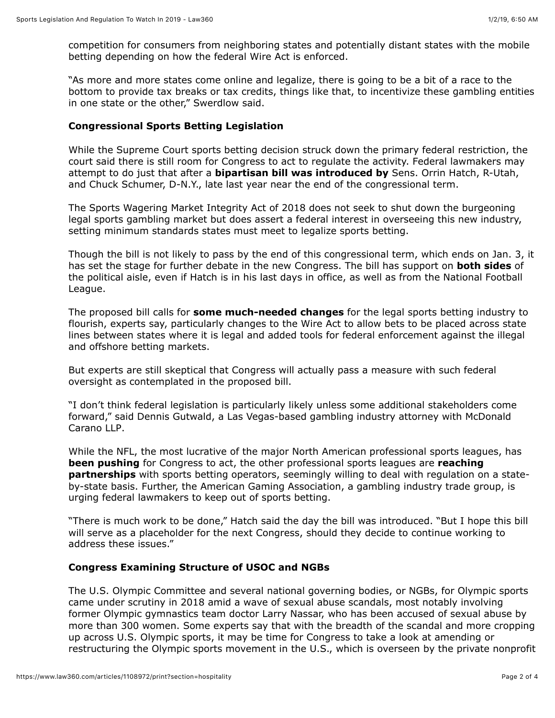competition for consumers from neighboring states and potentially distant states with the mobile betting depending on how the federal Wire Act is enforced.

"As more and more states come online and legalize, there is going to be a bit of a race to the bottom to provide tax breaks or tax credits, things like that, to incentivize these gambling entities in one state or the other," Swerdlow said.

### **Congressional Sports Betting Legislation**

While the Supreme Court sports betting decision struck down the primary federal restriction, the court said there is still room for Congress to act to regulate the activity. Federal lawmakers may attempt to do just that after a **[bipartisan bill was introduced by](https://www.law360.com/articles/1113238)** Sens. Orrin Hatch, R-Utah, and Chuck Schumer, D-N.Y., late last year near the end of the congressional term.

The Sports Wagering Market Integrity Act of 2018 does not seek to shut down the burgeoning legal sports gambling market but does assert a federal interest in overseeing this new industry, setting minimum standards states must meet to legalize sports betting.

Though the bill is not likely to pass by the end of this congressional term, which ends on Jan. 3, it has set the stage for further debate in the new Congress. The bill has support on **[both sides](https://www.law360.com/articles/1077971)** of [the political aisle, even if Hatch is in his last days in office, as well as from the National Football](https://www.law360.com/companies/nfl-enterprises-llc) League.

The proposed bill calls for **[some much-needed changes](https://www.law360.com/articles/1113700)** for the legal sports betting industry to flourish, experts say, particularly changes to the Wire Act to allow bets to be placed across state lines between states where it is legal and added tools for federal enforcement against the illegal and offshore betting markets.

But experts are still skeptical that Congress will actually pass a measure with such federal oversight as contemplated in the proposed bill.

"I don't think federal legislation is particularly likely unless some additional stakeholders come [forward," said Dennis Gutwald, a Las Vegas-based gambling industry attorney with McDonald](https://www.law360.com/firms/mcdonald-carano) Carano LLP.

While the NFL, the most lucrative of the major North American professional sports leagues, has **[been pushing](https://www.law360.com/articles/1045685)** for Congress to act, the other professional sports leagues are **reaching partnerships** [with sports betting operators, seemingly willing to deal with regulation on](https://www.law360.com/articles/1112686) a stateby-state basis. Further, the [American Gaming Association](https://www.law360.com/companies/american-gaming-association), a gambling industry trade group, is urging federal lawmakers to keep out of sports betting.

"There is much work to be done," Hatch said the day the bill was introduced. "But I hope this bill will serve as a placeholder for the next Congress, should they decide to continue working to address these issues."

### **Congress Examining Structure of USOC and NGBs**

The [U.S. Olympic Committee](https://www.law360.com/companies/united-states-olympic-committee) and several national governing bodies, or NGBs, for Olympic sports came under scrutiny in 2018 amid a wave of sexual abuse scandals, most notably involving former Olympic gymnastics team doctor Larry Nassar, who has been accused of sexual abuse by more than 300 women. Some experts say that with the breadth of the scandal and more cropping up across U.S. Olympic sports, it may be time for Congress to take a look at amending or restructuring the Olympic sports movement in the U.S., which is overseen by the private nonprofit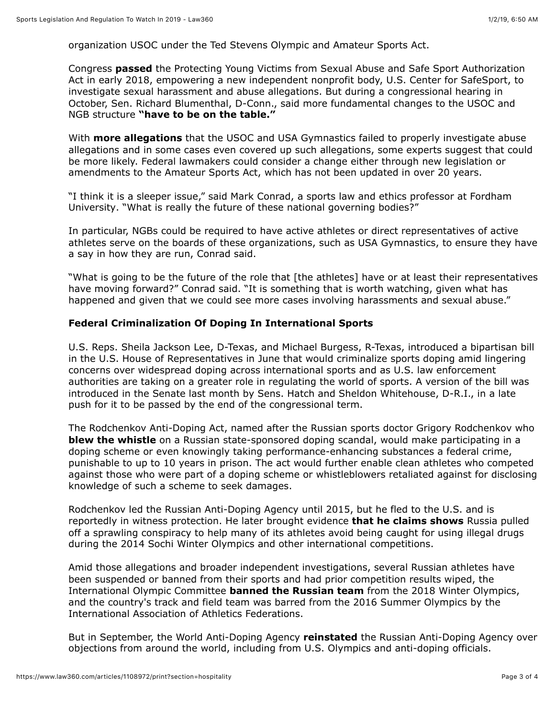organization USOC under the Ted Stevens Olympic and Amateur Sports Act.

Congress **[passed](https://www.law360.com/articles/1007005)** the Protecting Young Victims from Sexual Abuse and Safe Sport Authorization Act in early 2018, empowering a new independent nonprofit body, U.S. Center for SafeSport, to investigate sexual harassment and abuse allegations. But during a congressional hearing in October, Sen. Richard Blumenthal, D-Conn., said more fundamental changes to the USOC and NGB structure **["have to be on the table."](https://www.law360.com/articles/1090677)**

With **[more allegations](https://www.law360.com/sports/articles/1109853)** that the USOC and USA Gymnastics failed to properly investigate abuse allegations and in some cases even covered up such allegations, some experts suggest that could be more likely. Federal lawmakers could consider a change either through new legislation or amendments to the Amateur Sports Act, which has not been updated in over 20 years.

["I think it is a sleeper issue," said Mark Conrad, a sports law and ethics professor at Fordham](https://www.law360.com/companies/fordham-university) University. "What is really the future of these national governing bodies?"

In particular, NGBs could be required to have active athletes or direct representatives of active athletes serve on the boards of these organizations, such as USA Gymnastics, to ensure they have a say in how they are run, Conrad said.

"What is going to be the future of the role that [the athletes] have or at least their representatives have moving forward?" Conrad said. "It is something that is worth watching, given what has happened and given that we could see more cases involving harassments and sexual abuse."

## **Federal Criminalization Of Doping In International Sports**

U.S. Reps. Sheila Jackson Lee, D-Texas, and Michael Burgess, R-Texas, introduced a bipartisan bill in the [U.S. House of Representatives](https://www.law360.com/agencies/u-s-house-of-representatives) in June that would criminalize sports doping amid lingering concerns over widespread doping across international sports and as U.S. law enforcement authorities are taking on a greater role in regulating the world of sports. A version of the bill was introduced in the Senate last month by Sens. Hatch and Sheldon Whitehouse, D-R.I., in a late push for it to be passed by the end of the congressional term.

The Rodchenkov Anti-Doping Act, named after the Russian sports doctor Grigory Rodchenkov who **[blew the whistle](https://www.law360.com/articles/1038624)** on a Russian state-sponsored doping scandal, would make participating in a doping scheme or even knowingly taking performance-enhancing substances a federal crime, punishable to up to 10 years in prison. The act would further enable clean athletes who competed against those who were part of a doping scheme or whistleblowers retaliated against for disclosing knowledge of such a scheme to seek damages.

Rodchenkov led the Russian Anti-Doping Agency until 2015, but he fled to the U.S. and is reportedly in witness protection. He later brought evidence **[that he claims shows](https://www.law360.com/articles/1109219)** Russia pulled off a sprawling conspiracy to help many of its athletes avoid being caught for using illegal drugs during the 2014 Sochi Winter Olympics and other international competitions.

Amid those allegations and broader independent investigations, several Russian athletes have been suspended or banned from their sports and had prior competition results wiped, the [International Olympic Committee](https://www.law360.com/companies/international-olympic-committee) **[banned the Russian team](https://www.law360.com/articles/991544)** from the 2018 Winter Olympics, and the country's track and field team was barred from the 2016 Summer Olympics by the [International Association of Athletics Federations](https://www.law360.com/companies/international-association-of-athletics-federations).

But in September, the [World Anti-Doping Agency](https://www.law360.com/companies/world-anti-doping-agency) **[reinstated](https://www.law360.com/articles/1084750)** the Russian Anti-Doping Agency over objections from around the world, including from U.S. Olympics and anti-doping officials.